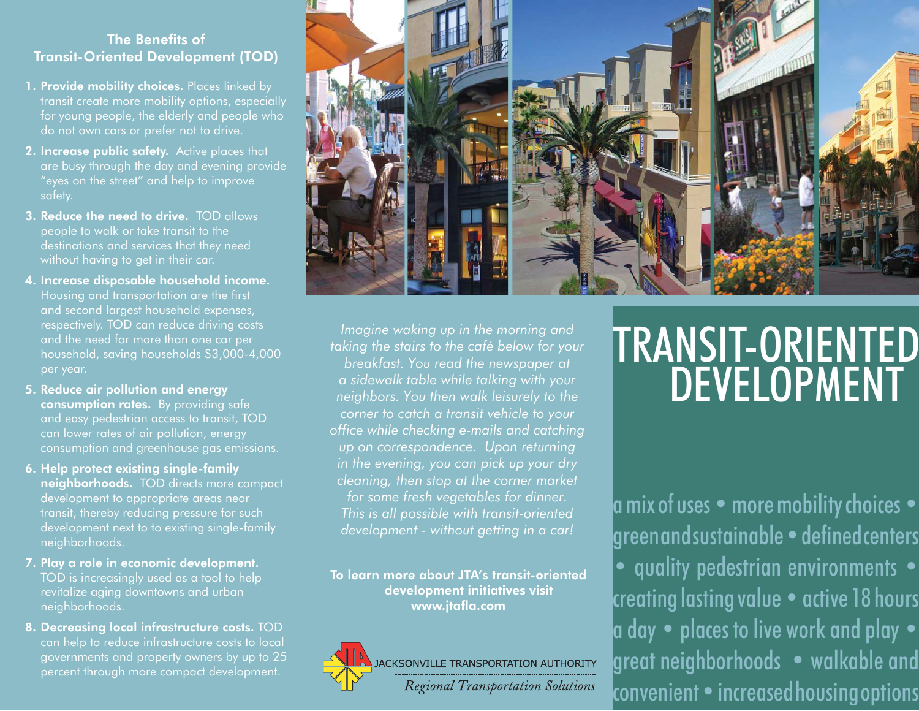## The Benefits of Transit-Oriented Development (TOD)

- 1. Provide mobility choices. Places linked by transit create more mobility options, especially for young people, the elderly and people who do not own cars or prefer not to drive.
- 2. Increase public safety. Active places that are busy through the day and evening provide "eyes on the street" and help to improve safety.
- 3. Reduce the need to drive. TOD allows people to walk or take transit to the destinations and services that they need without having to get in their car.
- 4. Increase disposable household income. Housing and transportation are the first and second largest household expenses, respectively. TOD can reduce driving costs and the need for more than one car per household, saving households \$3,000-4,000 per year.
- 5. Reduce air pollution and energy consumption rates. By providing safe and easy pedestrian access to transit, TOD can lower rates of air pollution, energy consumption and greenhouse gas emissions.
- 6. Help protect existing single-family neighborhoods. TOD directs more compact development to appropriate areas near transit, thereby reducing pressure for such development next to to existing single-family neighborhoods.
- 7. Play a role in economic development. TOD is increasingly used as a tool to help revitalize aging downtowns and urban neighborhoods.
- 8. Decreasing local infrastructure costs. TOD can help to reduce infrastructure costs to local governments and property owners by up to 25 percent through more compact development.



*Imagine waking up in the morning and taking the stairs to the café below for your breakfast. You read the newspaper at a sidewalk table while talking with your neighbors. You then walk leisurely to the corner to catch a transit vehicle to your office while checking e-mails and catching up on correspondence. Upon returning in the evening, you can pick up your dry cleaning, then stop at the corner market for some fresh vegetables for dinner. This is all possible with transit-oriented development - without getting in a car!*

To learn more about JTA's transit-oriented development initiatives visit www.jtafla.com



## TRANSIT-ORIENTEDDEVELOPMENT

 $\bm{{\mathsf{a}}}$  mix of uses  $\bm{{\mathsf{e}}}$  more mobility choices  $\bm{{\mathsf{e}}}$  green and sustainable • defined centers • quality pedestrian environments • creating lasting value • active 18 hours $|$ a day  $\bullet\,$  places to live work and play  $\bullet\,$ great neighborhoods • walkable andconvenient • increased housing options